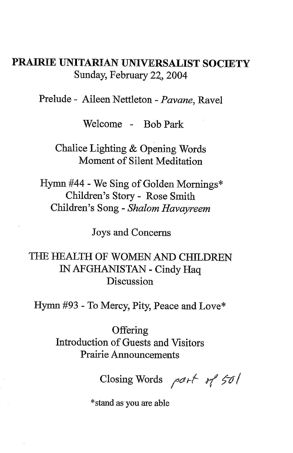## **PRAIRIE UNITARIAN UNIVERSALIST SOCIETY**  Sunday, February 22, 2004

Prelude - Aileen Nettleton - *Pavane,* Ravel

Welcome - Bob Park

Chalice Lighting & Opening Words Moment of Silent Meditation

Hymn #44 - We Sing of Golden Mornings\* Children's Story- Rose Smith Children's Song - *Shalom Havayreem* 

Joys and Concerns

THE HEALTH OF WOMEN AND CHILDREN IN AFGHANISTAN - Cindy Haq Discussion

Hymn #93 - To Mercy, Pity, Peace and Love\*

**Offering** Introduction of Guests and Visitors Prairie Announcements

Closing Words *1 <sup>a</sup>1-f t-( 5--o /* 

\*stand as you are able